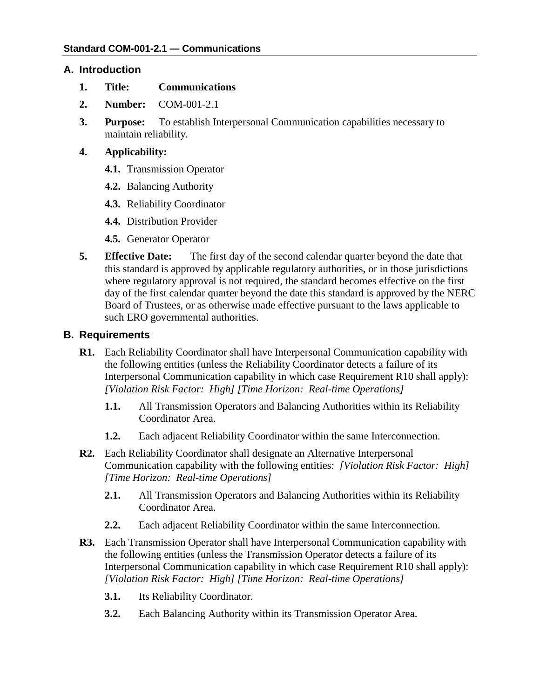### **A. Introduction**

- **1. Title: Communications**
- **2. Number:** COM-001-2.1
- **3. Purpose:** To establish Interpersonal Communication capabilities necessary to maintain reliability.
- **4. Applicability:**
	- **4.1.** Transmission Operator
	- **4.2.** Balancing Authority
	- **4.3.** Reliability Coordinator
	- **4.4.** Distribution Provider
	- **4.5.** Generator Operator
- **5. Effective Date:** The first day of the second calendar quarter beyond the date that this standard is approved by applicable regulatory authorities, or in those jurisdictions where regulatory approval is not required, the standard becomes effective on the first day of the first calendar quarter beyond the date this standard is approved by the NERC Board of Trustees, or as otherwise made effective pursuant to the laws applicable to such ERO governmental authorities.

### **B. Requirements**

- **R1.** Each Reliability Coordinator shall have Interpersonal Communication capability with the following entities (unless the Reliability Coordinator detects a failure of its Interpersonal Communication capability in which case Requirement R10 shall apply): *[Violation Risk Factor: High] [Time Horizon: Real-time Operations]*
	- **1.1.** All Transmission Operators and Balancing Authorities within its Reliability Coordinator Area.
	- **1.2.** Each adjacent Reliability Coordinator within the same Interconnection.
- **R2.** Each Reliability Coordinator shall designate an Alternative Interpersonal Communication capability with the following entities: *[Violation Risk Factor: High] [Time Horizon: Real-time Operations]*
	- **2.1.** All Transmission Operators and Balancing Authorities within its Reliability Coordinator Area.
	- **2.2.** Each adjacent Reliability Coordinator within the same Interconnection.
- **R3.** Each Transmission Operator shall have Interpersonal Communication capability with the following entities (unless the Transmission Operator detects a failure of its Interpersonal Communication capability in which case Requirement R10 shall apply): *[Violation Risk Factor: High] [Time Horizon: Real-time Operations]*
	- **3.1.** Its Reliability Coordinator.
	- **3.2.** Each Balancing Authority within its Transmission Operator Area.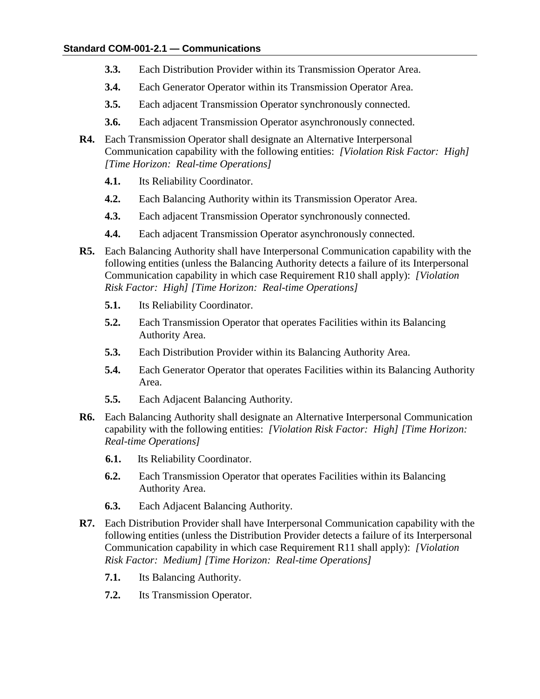- **3.3.** Each Distribution Provider within its Transmission Operator Area.
- **3.4.** Each Generator Operator within its Transmission Operator Area.
- **3.5.** Each adjacent Transmission Operator synchronously connected.
- **3.6.** Each adjacent Transmission Operator asynchronously connected.
- **R4.** Each Transmission Operator shall designate an Alternative Interpersonal Communication capability with the following entities: *[Violation Risk Factor: High] [Time Horizon: Real-time Operations]*
	- **4.1.** Its Reliability Coordinator.
	- **4.2.** Each Balancing Authority within its Transmission Operator Area.
	- **4.3.** Each adjacent Transmission Operator synchronously connected.
	- **4.4.** Each adjacent Transmission Operator asynchronously connected.
- **R5.** Each Balancing Authority shall have Interpersonal Communication capability with the following entities (unless the Balancing Authority detects a failure of its Interpersonal Communication capability in which case Requirement R10 shall apply): *[Violation Risk Factor: High] [Time Horizon: Real-time Operations]*
	- **5.1.** Its Reliability Coordinator.
	- **5.2.** Each Transmission Operator that operates Facilities within its Balancing Authority Area.
	- **5.3.** Each Distribution Provider within its Balancing Authority Area.
	- **5.4.** Each Generator Operator that operates Facilities within its Balancing Authority Area.
	- **5.5.** Each Adjacent Balancing Authority.
- **R6.** Each Balancing Authority shall designate an Alternative Interpersonal Communication capability with the following entities: *[Violation Risk Factor: High] [Time Horizon: Real-time Operations]*
	- **6.1.** Its Reliability Coordinator.
	- **6.2.** Each Transmission Operator that operates Facilities within its Balancing Authority Area.
	- **6.3.** Each Adjacent Balancing Authority.
- **R7.** Each Distribution Provider shall have Interpersonal Communication capability with the following entities (unless the Distribution Provider detects a failure of its Interpersonal Communication capability in which case Requirement R11 shall apply): *[Violation Risk Factor: Medium] [Time Horizon: Real-time Operations]*
	- **7.1.** Its Balancing Authority.
	- **7.2.** Its Transmission Operator.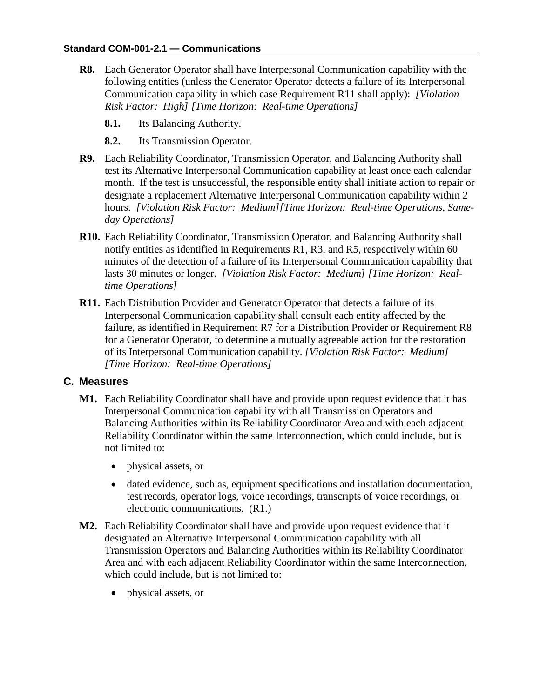- **R8.** Each Generator Operator shall have Interpersonal Communication capability with the following entities (unless the Generator Operator detects a failure of its Interpersonal Communication capability in which case Requirement R11 shall apply): *[Violation Risk Factor: High] [Time Horizon: Real-time Operations]*
	- **8.1.** Its Balancing Authority.
	- **8.2.** Its Transmission Operator.
- **R9.** Each Reliability Coordinator, Transmission Operator, and Balancing Authority shall test its Alternative Interpersonal Communication capability at least once each calendar month. If the test is unsuccessful, the responsible entity shall initiate action to repair or designate a replacement Alternative Interpersonal Communication capability within 2 hours. *[Violation Risk Factor: Medium][Time Horizon: Real-time Operations, Sameday Operations]*
- **R10.** Each Reliability Coordinator, Transmission Operator, and Balancing Authority shall notify entities as identified in Requirements R1, R3, and R5, respectively within 60 minutes of the detection of a failure of its Interpersonal Communication capability that lasts 30 minutes or longer. *[Violation Risk Factor: Medium] [Time Horizon: Realtime Operations]*
- **R11.** Each Distribution Provider and Generator Operator that detects a failure of its Interpersonal Communication capability shall consult each entity affected by the failure, as identified in Requirement R7 for a Distribution Provider or Requirement R8 for a Generator Operator, to determine a mutually agreeable action for the restoration of its Interpersonal Communication capability. *[Violation Risk Factor: Medium] [Time Horizon: Real-time Operations]*

#### **C. Measures**

- **M1.** Each Reliability Coordinator shall have and provide upon request evidence that it has Interpersonal Communication capability with all Transmission Operators and Balancing Authorities within its Reliability Coordinator Area and with each adjacent Reliability Coordinator within the same Interconnection, which could include, but is not limited to:
	- physical assets, or
	- dated evidence, such as, equipment specifications and installation documentation, test records, operator logs, voice recordings, transcripts of voice recordings, or electronic communications. (R1.)
- **M2.** Each Reliability Coordinator shall have and provide upon request evidence that it designated an Alternative Interpersonal Communication capability with all Transmission Operators and Balancing Authorities within its Reliability Coordinator Area and with each adjacent Reliability Coordinator within the same Interconnection, which could include, but is not limited to:
	- physical assets, or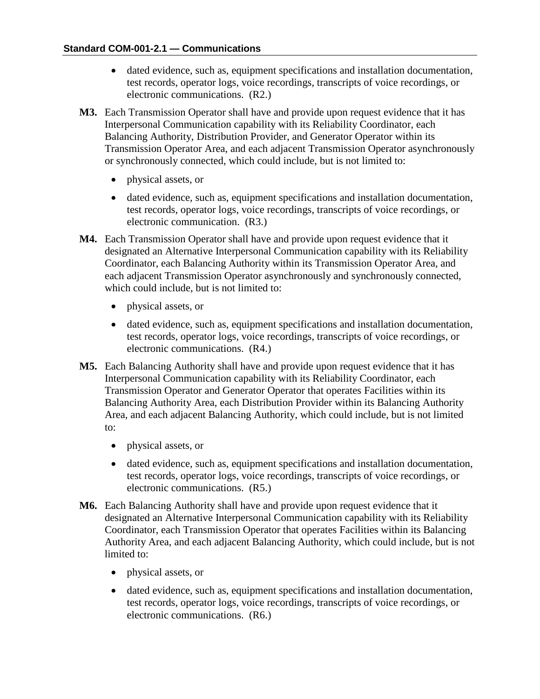- dated evidence, such as, equipment specifications and installation documentation, test records, operator logs, voice recordings, transcripts of voice recordings, or electronic communications. (R2.)
- **M3.** Each Transmission Operator shall have and provide upon request evidence that it has Interpersonal Communication capability with its Reliability Coordinator, each Balancing Authority, Distribution Provider, and Generator Operator within its Transmission Operator Area, and each adjacent Transmission Operator asynchronously or synchronously connected, which could include, but is not limited to:
	- physical assets, or
	- dated evidence, such as, equipment specifications and installation documentation, test records, operator logs, voice recordings, transcripts of voice recordings, or electronic communication. (R3.)
- **M4.** Each Transmission Operator shall have and provide upon request evidence that it designated an Alternative Interpersonal Communication capability with its Reliability Coordinator, each Balancing Authority within its Transmission Operator Area, and each adjacent Transmission Operator asynchronously and synchronously connected, which could include, but is not limited to:
	- physical assets, or
	- dated evidence, such as, equipment specifications and installation documentation, test records, operator logs, voice recordings, transcripts of voice recordings, or electronic communications. (R4.)
- **M5.** Each Balancing Authority shall have and provide upon request evidence that it has Interpersonal Communication capability with its Reliability Coordinator, each Transmission Operator and Generator Operator that operates Facilities within its Balancing Authority Area, each Distribution Provider within its Balancing Authority Area, and each adjacent Balancing Authority, which could include, but is not limited to:
	- physical assets, or
	- dated evidence, such as, equipment specifications and installation documentation, test records, operator logs, voice recordings, transcripts of voice recordings, or electronic communications. (R5.)
- **M6.** Each Balancing Authority shall have and provide upon request evidence that it designated an Alternative Interpersonal Communication capability with its Reliability Coordinator, each Transmission Operator that operates Facilities within its Balancing Authority Area, and each adjacent Balancing Authority, which could include, but is not limited to:
	- physical assets, or
	- dated evidence, such as, equipment specifications and installation documentation, test records, operator logs, voice recordings, transcripts of voice recordings, or electronic communications. (R6.)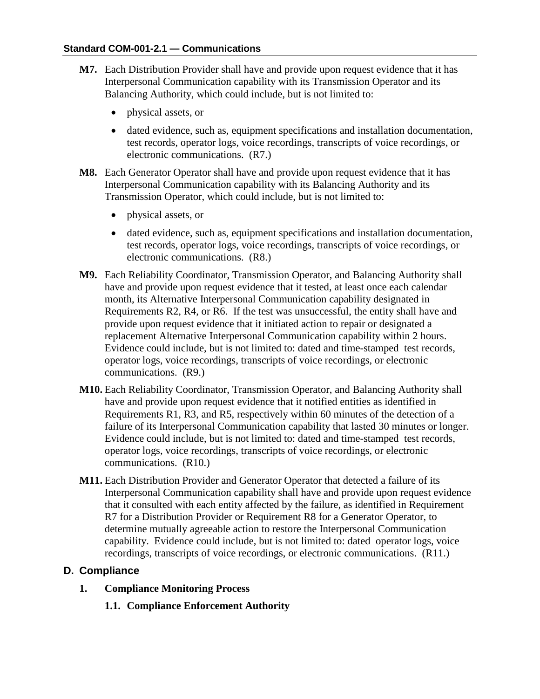- **M7.** Each Distribution Provider shall have and provide upon request evidence that it has Interpersonal Communication capability with its Transmission Operator and its Balancing Authority, which could include, but is not limited to:
	- physical assets, or
	- dated evidence, such as, equipment specifications and installation documentation, test records, operator logs, voice recordings, transcripts of voice recordings, or electronic communications. (R7.)
- **M8.** Each Generator Operator shall have and provide upon request evidence that it has Interpersonal Communication capability with its Balancing Authority and its Transmission Operator, which could include, but is not limited to:
	- physical assets, or
	- dated evidence, such as, equipment specifications and installation documentation, test records, operator logs, voice recordings, transcripts of voice recordings, or electronic communications. (R8.)
- **M9.** Each Reliability Coordinator, Transmission Operator, and Balancing Authority shall have and provide upon request evidence that it tested, at least once each calendar month, its Alternative Interpersonal Communication capability designated in Requirements R2, R4, or R6. If the test was unsuccessful, the entity shall have and provide upon request evidence that it initiated action to repair or designated a replacement Alternative Interpersonal Communication capability within 2 hours. Evidence could include, but is not limited to: dated and time-stamped test records, operator logs, voice recordings, transcripts of voice recordings, or electronic communications. (R9.)
- **M10.** Each Reliability Coordinator, Transmission Operator, and Balancing Authority shall have and provide upon request evidence that it notified entities as identified in Requirements R1, R3, and R5, respectively within 60 minutes of the detection of a failure of its Interpersonal Communication capability that lasted 30 minutes or longer. Evidence could include, but is not limited to: dated and time-stamped test records, operator logs, voice recordings, transcripts of voice recordings, or electronic communications. (R10.)
- **M11.** Each Distribution Provider and Generator Operator that detected a failure of its Interpersonal Communication capability shall have and provide upon request evidence that it consulted with each entity affected by the failure, as identified in Requirement R7 for a Distribution Provider or Requirement R8 for a Generator Operator, to determine mutually agreeable action to restore the Interpersonal Communication capability. Evidence could include, but is not limited to: dated operator logs, voice recordings, transcripts of voice recordings, or electronic communications. (R11.)

#### **D. Compliance**

- **1. Compliance Monitoring Process**
	- **1.1. Compliance Enforcement Authority**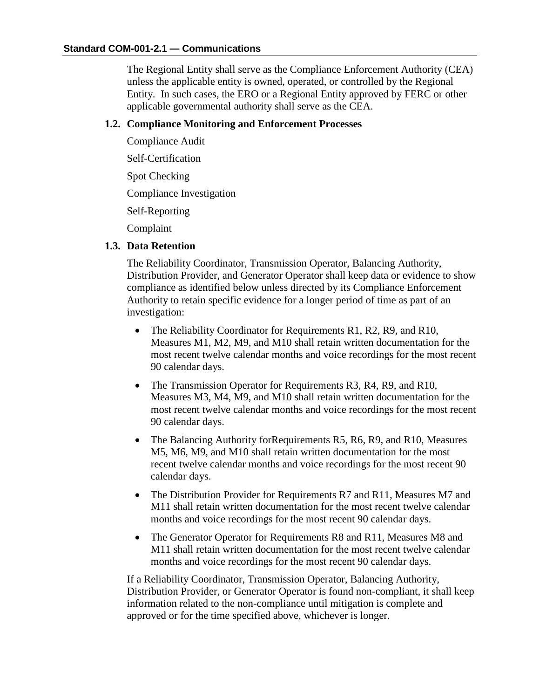The Regional Entity shall serve as the Compliance Enforcement Authority (CEA) unless the applicable entity is owned, operated, or controlled by the Regional Entity. In such cases, the ERO or a Regional Entity approved by FERC or other applicable governmental authority shall serve as the CEA.

### **1.2. Compliance Monitoring and Enforcement Processes**

Compliance Audit

Self-Certification

Spot Checking

Compliance Investigation

Self-Reporting

Complaint

### **1.3. Data Retention**

The Reliability Coordinator, Transmission Operator, Balancing Authority, Distribution Provider, and Generator Operator shall keep data or evidence to show compliance as identified below unless directed by its Compliance Enforcement Authority to retain specific evidence for a longer period of time as part of an investigation:

- The Reliability Coordinator for Requirements R1, R2, R9, and R10, Measures M1, M2, M9, and M10 shall retain written documentation for the most recent twelve calendar months and voice recordings for the most recent 90 calendar days.
- The Transmission Operator for Requirements R3, R4, R9, and R10, Measures M3, M4, M9, and M10 shall retain written documentation for the most recent twelve calendar months and voice recordings for the most recent 90 calendar days.
- The Balancing Authority for Requirements R5, R6, R9, and R10, Measures M5, M6, M9, and M10 shall retain written documentation for the most recent twelve calendar months and voice recordings for the most recent 90 calendar days.
- The Distribution Provider for Requirements R7 and R11, Measures M7 and M11 shall retain written documentation for the most recent twelve calendar months and voice recordings for the most recent 90 calendar days.
- The Generator Operator for Requirements R8 and R11, Measures M8 and M11 shall retain written documentation for the most recent twelve calendar months and voice recordings for the most recent 90 calendar days.

If a Reliability Coordinator, Transmission Operator, Balancing Authority, Distribution Provider, or Generator Operator is found non-compliant, it shall keep information related to the non-compliance until mitigation is complete and approved or for the time specified above, whichever is longer.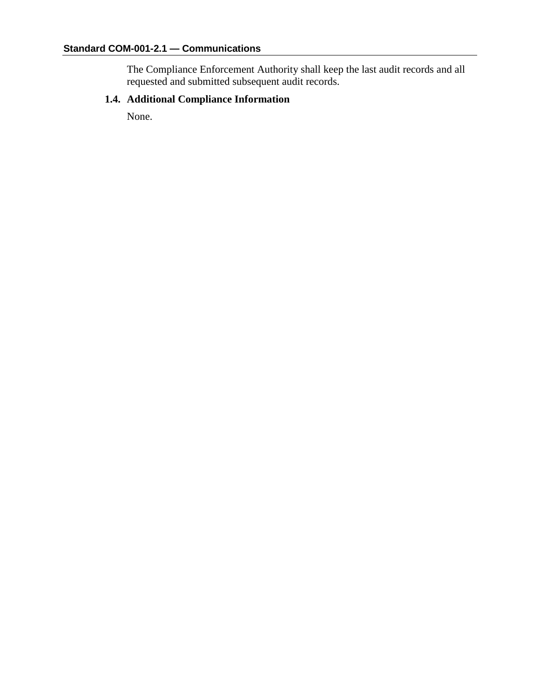The Compliance Enforcement Authority shall keep the last audit records and all requested and submitted subsequent audit records.

# **1.4. Additional Compliance Information**

None.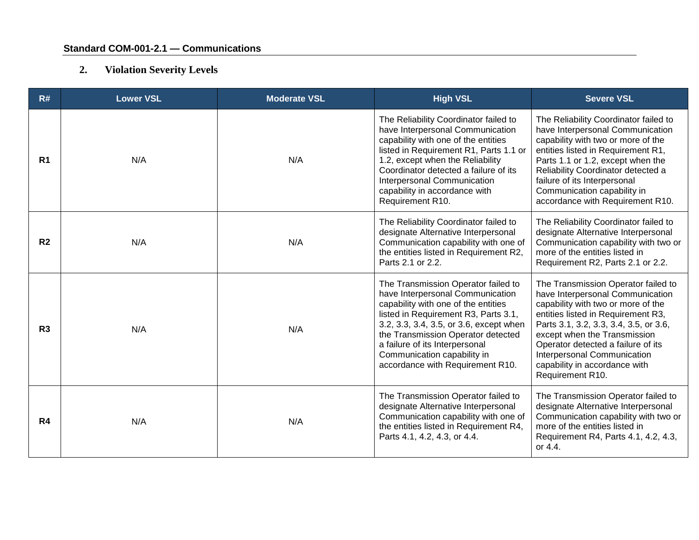# **2. Violation Severity Levels**

| R#             | <b>Lower VSL</b> | <b>Moderate VSL</b> | <b>High VSL</b>                                                                                                                                                                                                                                                                                                                              | <b>Severe VSL</b>                                                                                                                                                                                                                                                                                                                                       |
|----------------|------------------|---------------------|----------------------------------------------------------------------------------------------------------------------------------------------------------------------------------------------------------------------------------------------------------------------------------------------------------------------------------------------|---------------------------------------------------------------------------------------------------------------------------------------------------------------------------------------------------------------------------------------------------------------------------------------------------------------------------------------------------------|
| R <sub>1</sub> | N/A              | N/A                 | The Reliability Coordinator failed to<br>have Interpersonal Communication<br>capability with one of the entities<br>listed in Requirement R1, Parts 1.1 or<br>1.2, except when the Reliability<br>Coordinator detected a failure of its<br>Interpersonal Communication<br>capability in accordance with<br>Requirement R10.                  | The Reliability Coordinator failed to<br>have Interpersonal Communication<br>capability with two or more of the<br>entities listed in Requirement R1,<br>Parts 1.1 or 1.2, except when the<br>Reliability Coordinator detected a<br>failure of its Interpersonal<br>Communication capability in<br>accordance with Requirement R10.                     |
| R <sub>2</sub> | N/A              | N/A                 | The Reliability Coordinator failed to<br>designate Alternative Interpersonal<br>Communication capability with one of<br>the entities listed in Requirement R2,<br>Parts 2.1 or 2.2.                                                                                                                                                          | The Reliability Coordinator failed to<br>designate Alternative Interpersonal<br>Communication capability with two or<br>more of the entities listed in<br>Requirement R2, Parts 2.1 or 2.2.                                                                                                                                                             |
| R <sub>3</sub> | N/A              | N/A                 | The Transmission Operator failed to<br>have Interpersonal Communication<br>capability with one of the entities<br>listed in Requirement R3, Parts 3.1,<br>3.2, 3.3, 3.4, 3.5, or 3.6, except when<br>the Transmission Operator detected<br>a failure of its Interpersonal<br>Communication capability in<br>accordance with Requirement R10. | The Transmission Operator failed to<br>have Interpersonal Communication<br>capability with two or more of the<br>entities listed in Requirement R3,<br>Parts 3.1, 3.2, 3.3, 3.4, 3.5, or 3.6,<br>except when the Transmission<br>Operator detected a failure of its<br>Interpersonal Communication<br>capability in accordance with<br>Requirement R10. |
| R4             | N/A              | N/A                 | The Transmission Operator failed to<br>designate Alternative Interpersonal<br>Communication capability with one of<br>the entities listed in Requirement R4,<br>Parts 4.1, 4.2, 4.3, or 4.4.                                                                                                                                                 | The Transmission Operator failed to<br>designate Alternative Interpersonal<br>Communication capability with two or<br>more of the entities listed in<br>Requirement R4, Parts 4.1, 4.2, 4.3,<br>or 4.4.                                                                                                                                                 |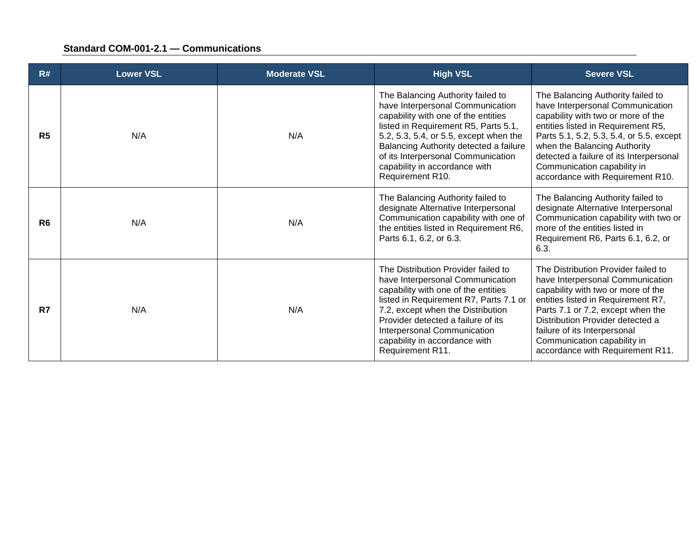| R#             | <b>Lower VSL</b> | <b>Moderate VSL</b> | <b>High VSL</b>                                                                                                                                                                                                                                                                                                                     | <b>Severe VSL</b>                                                                                                                                                                                                                                                                                                                           |
|----------------|------------------|---------------------|-------------------------------------------------------------------------------------------------------------------------------------------------------------------------------------------------------------------------------------------------------------------------------------------------------------------------------------|---------------------------------------------------------------------------------------------------------------------------------------------------------------------------------------------------------------------------------------------------------------------------------------------------------------------------------------------|
| R <sub>5</sub> | N/A              | N/A                 | The Balancing Authority failed to<br>have Interpersonal Communication<br>capability with one of the entities<br>listed in Requirement R5, Parts 5.1,<br>5.2, 5.3, 5.4, or 5.5, except when the<br>Balancing Authority detected a failure<br>of its Interpersonal Communication<br>capability in accordance with<br>Requirement R10. | The Balancing Authority failed to<br>have Interpersonal Communication<br>capability with two or more of the<br>entities listed in Requirement R5,<br>Parts 5.1, 5.2, 5.3, 5.4, or 5.5, except<br>when the Balancing Authority<br>detected a failure of its Interpersonal<br>Communication capability in<br>accordance with Requirement R10. |
| R <sub>6</sub> | N/A              | N/A                 | The Balancing Authority failed to<br>designate Alternative Interpersonal<br>Communication capability with one of<br>the entities listed in Requirement R6,<br>Parts 6.1, 6.2, or 6.3.                                                                                                                                               | The Balancing Authority failed to<br>designate Alternative Interpersonal<br>Communication capability with two or<br>more of the entities listed in<br>Requirement R6, Parts 6.1, 6.2, or<br>6.3.                                                                                                                                            |
| R7             | N/A              | N/A                 | The Distribution Provider failed to<br>have Interpersonal Communication<br>capability with one of the entities<br>listed in Requirement R7, Parts 7.1 or<br>7.2, except when the Distribution<br>Provider detected a failure of its<br>Interpersonal Communication<br>capability in accordance with<br>Requirement R11.             | The Distribution Provider failed to<br>have Interpersonal Communication<br>capability with two or more of the<br>entities listed in Requirement R7,<br>Parts 7.1 or 7.2, except when the<br>Distribution Provider detected a<br>failure of its Interpersonal<br>Communication capability in<br>accordance with Requirement R11.             |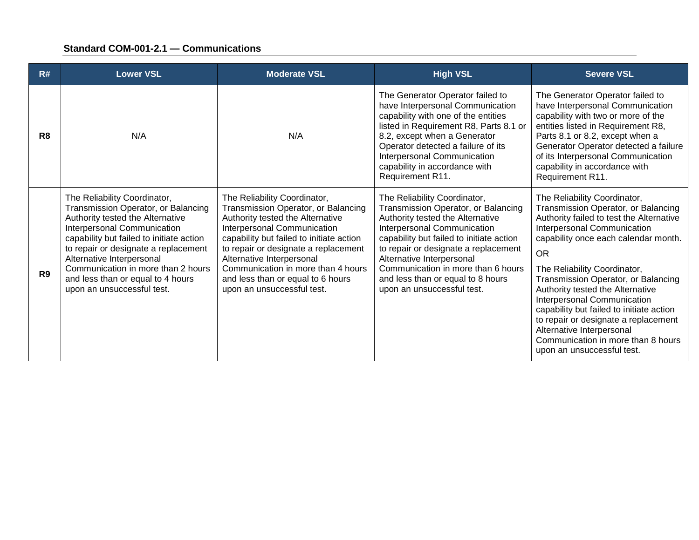| R#             | <b>Lower VSL</b>                                                                                                                                                                                                                                                                                                                                                 | <b>Moderate VSL</b>                                                                                                                                                                                                                                                                                                                                              | <b>High VSL</b>                                                                                                                                                                                                                                                                                                                                                  | <b>Severe VSL</b>                                                                                                                                                                                                                                                                                                                                                                                                                                                                                                                  |
|----------------|------------------------------------------------------------------------------------------------------------------------------------------------------------------------------------------------------------------------------------------------------------------------------------------------------------------------------------------------------------------|------------------------------------------------------------------------------------------------------------------------------------------------------------------------------------------------------------------------------------------------------------------------------------------------------------------------------------------------------------------|------------------------------------------------------------------------------------------------------------------------------------------------------------------------------------------------------------------------------------------------------------------------------------------------------------------------------------------------------------------|------------------------------------------------------------------------------------------------------------------------------------------------------------------------------------------------------------------------------------------------------------------------------------------------------------------------------------------------------------------------------------------------------------------------------------------------------------------------------------------------------------------------------------|
| R <sub>8</sub> | N/A                                                                                                                                                                                                                                                                                                                                                              | N/A                                                                                                                                                                                                                                                                                                                                                              | The Generator Operator failed to<br>have Interpersonal Communication<br>capability with one of the entities<br>listed in Requirement R8, Parts 8.1 or<br>8.2, except when a Generator<br>Operator detected a failure of its<br>Interpersonal Communication<br>capability in accordance with<br>Requirement R11.                                                  | The Generator Operator failed to<br>have Interpersonal Communication<br>capability with two or more of the<br>entities listed in Requirement R8,<br>Parts 8.1 or 8.2, except when a<br>Generator Operator detected a failure<br>of its Interpersonal Communication<br>capability in accordance with<br>Requirement R11.                                                                                                                                                                                                            |
| R <sub>9</sub> | The Reliability Coordinator,<br>Transmission Operator, or Balancing<br>Authority tested the Alternative<br>Interpersonal Communication<br>capability but failed to initiate action<br>to repair or designate a replacement<br>Alternative Interpersonal<br>Communication in more than 2 hours<br>and less than or equal to 4 hours<br>upon an unsuccessful test. | The Reliability Coordinator,<br>Transmission Operator, or Balancing<br>Authority tested the Alternative<br>Interpersonal Communication<br>capability but failed to initiate action<br>to repair or designate a replacement<br>Alternative Interpersonal<br>Communication in more than 4 hours<br>and less than or equal to 6 hours<br>upon an unsuccessful test. | The Reliability Coordinator,<br>Transmission Operator, or Balancing<br>Authority tested the Alternative<br>Interpersonal Communication<br>capability but failed to initiate action<br>to repair or designate a replacement<br>Alternative Interpersonal<br>Communication in more than 6 hours<br>and less than or equal to 8 hours<br>upon an unsuccessful test. | The Reliability Coordinator,<br>Transmission Operator, or Balancing<br>Authority failed to test the Alternative<br>Interpersonal Communication<br>capability once each calendar month.<br><b>OR</b><br>The Reliability Coordinator,<br>Transmission Operator, or Balancing<br>Authority tested the Alternative<br>Interpersonal Communication<br>capability but failed to initiate action<br>to repair or designate a replacement<br>Alternative Interpersonal<br>Communication in more than 8 hours<br>upon an unsuccessful test. |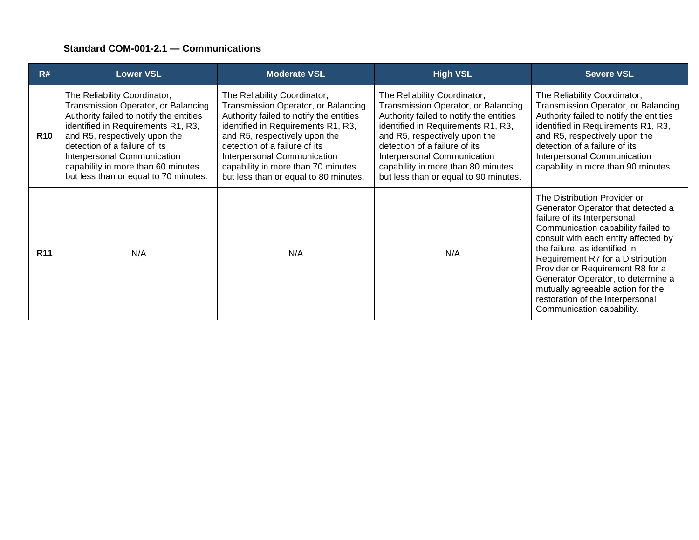| R#         | <b>Lower VSL</b>                                                                                                                                                                                                                                                                                                                     | <b>Moderate VSL</b>                                                                                                                                                                                                                                                                                                                  | <b>High VSL</b>                                                                                                                                                                                                                                                                                                                      | <b>Severe VSL</b>                                                                                                                                                                                                                                                                                                                                                                                                                      |
|------------|--------------------------------------------------------------------------------------------------------------------------------------------------------------------------------------------------------------------------------------------------------------------------------------------------------------------------------------|--------------------------------------------------------------------------------------------------------------------------------------------------------------------------------------------------------------------------------------------------------------------------------------------------------------------------------------|--------------------------------------------------------------------------------------------------------------------------------------------------------------------------------------------------------------------------------------------------------------------------------------------------------------------------------------|----------------------------------------------------------------------------------------------------------------------------------------------------------------------------------------------------------------------------------------------------------------------------------------------------------------------------------------------------------------------------------------------------------------------------------------|
| <b>R10</b> | The Reliability Coordinator,<br>Transmission Operator, or Balancing<br>Authority failed to notify the entities<br>identified in Requirements R1, R3,<br>and R5, respectively upon the<br>detection of a failure of its<br>Interpersonal Communication<br>capability in more than 60 minutes<br>but less than or equal to 70 minutes. | The Reliability Coordinator,<br>Transmission Operator, or Balancing<br>Authority failed to notify the entities<br>identified in Requirements R1, R3,<br>and R5, respectively upon the<br>detection of a failure of its<br>Interpersonal Communication<br>capability in more than 70 minutes<br>but less than or equal to 80 minutes. | The Reliability Coordinator,<br>Transmission Operator, or Balancing<br>Authority failed to notify the entities<br>identified in Requirements R1, R3,<br>and R5, respectively upon the<br>detection of a failure of its<br>Interpersonal Communication<br>capability in more than 80 minutes<br>but less than or equal to 90 minutes. | The Reliability Coordinator,<br>Transmission Operator, or Balancing<br>Authority failed to notify the entities<br>identified in Requirements R1, R3,<br>and R5, respectively upon the<br>detection of a failure of its<br>Interpersonal Communication<br>capability in more than 90 minutes.                                                                                                                                           |
| <b>R11</b> | N/A                                                                                                                                                                                                                                                                                                                                  | N/A                                                                                                                                                                                                                                                                                                                                  | N/A                                                                                                                                                                                                                                                                                                                                  | The Distribution Provider or<br>Generator Operator that detected a<br>failure of its Interpersonal<br>Communication capability failed to<br>consult with each entity affected by<br>the failure, as identified in<br>Requirement R7 for a Distribution<br>Provider or Requirement R8 for a<br>Generator Operator, to determine a<br>mutually agreeable action for the<br>restoration of the Interpersonal<br>Communication capability. |